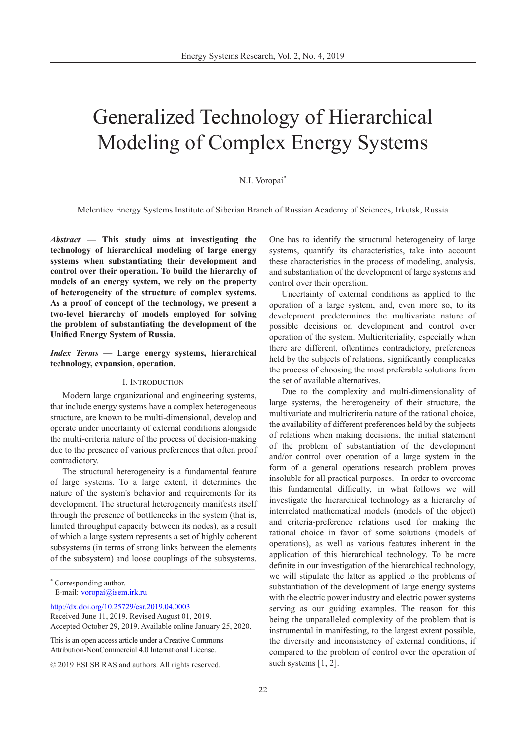# Generalized Technology of Hierarchical Modeling of Complex Energy Systems

# N.I. Voropai\*

Melentiev Energy Systems Institute of Siberian Branch of Russian Academy of Sciences, Irkutsk, Russia

*Abstract* **— This study aims at investigating the technology of hierarchical modeling of large energy systems when substantiating their development and control over their operation. To build the hierarchy of models of an energy system, we rely on the property of heterogeneity of the structure of complex systems. As a proof of concept of the technology, we present a two-level hierarchy of models employed for solving the problem of substantiating the development of the Unified Energy System of Russia.**

*Index Terms* **— Large energy systems, hierarchical technology, expansion, operation.**

## I. Introduction

Modern large organizational and engineering systems, that include energy systems have a complex heterogeneous structure, are known to be multi-dimensional, develop and operate under uncertainty of external conditions alongside the multi-criteria nature of the process of decision-making due to the presence of various preferences that often proof contradictory.

 $\blacksquare$ The structural heterogeneity is a fundamental feature of large systems. To a large extent, it determines the nature of the system's behavior and requirements for its development. The structural heterogeneity manifests itself through the presence of bottlenecks in the system (that is, limited throughput capacity between its nodes), as a result of which a large system represents a set of highly coherent subsystems (in terms of strong links between the elements of the subsystem) and loose couplings of the subsystems.

[http://dx.doi.org/10.25729/esr.2019.04.000](http://dx.doi.org/10.25729/esr.2019.04.0003)3

This is an open access article under a Creative Commons Attribution-NonCommercial 4.0 International License.

One has to identify the structural heterogeneity of large systems, quantify its characteristics, take into account these characteristics in the process of modeling, analysis, and substantiation of the development of large systems and control over their operation.

Uncertainty of external conditions as applied to the operation of a large system, and, even more so, to its development predetermines the multivariate nature of possible decisions on development and control over operation of the system. Multicriteriality, especially when there are different, oftentimes contradictory, preferences held by the subjects of relations, significantly complicates the process of choosing the most preferable solutions from the set of available alternatives.

Due to the complexity and multi-dimensionality of large systems, the heterogeneity of their structure, the multivariate and multicriteria nature of the rational choice, the availability of different preferences held by the subjects of relations when making decisions, the initial statement of the problem of substantiation of the development and/or control over operation of a large system in the form of a general operations research problem proves insoluble for all practical purposes. In order to overcome this fundamental difficulty, in what follows we will investigate the hierarchical technology as a hierarchy of interrelated mathematical models (models of the object) and criteria-preference relations used for making the rational choice in favor of some solutions (models of operations), as well as various features inherent in the application of this hierarchical technology. To be more definite in our investigation of the hierarchical technology, we will stipulate the latter as applied to the problems of substantiation of the development of large energy systems with the electric power industry and electric power systems serving as our guiding examples. The reason for this being the unparalleled complexity of the problem that is instrumental in manifesting, to the largest extent possible, the diversity and inconsistency of external conditions, if compared to the problem of control over the operation of such systems [1, 2].

<sup>\*</sup> Corresponding author. E-mail: voropai@isem.irk.r[u](mailto: dmitriy.karamov@mail.ru )

Received June 11, 2019. Revised August 01, 2019. Accepted October 29, 2019. Available online January 25, 2020.

<sup>© 2019</sup> ESI SB RAS and authors. All rights reserved.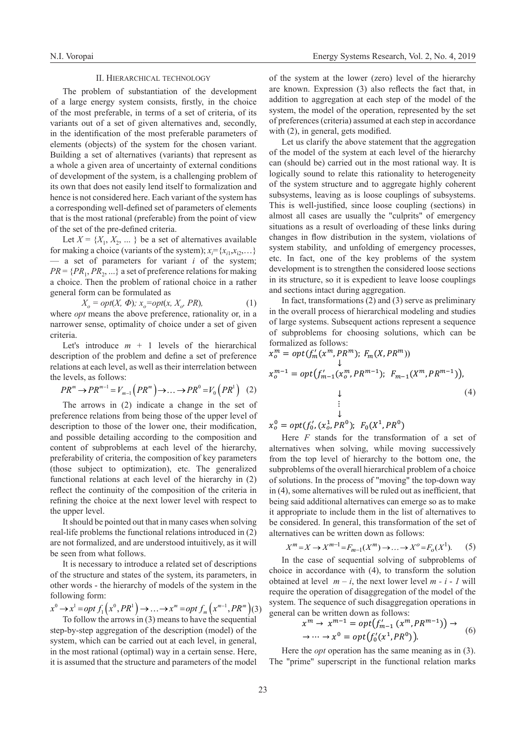### II. Hierarchical technology

The problem of substantiation of the development of a large energy system consists, firstly, in the choice of the most preferable, in terms of a set of criteria, of its variants out of a set of given alternatives and, secondly, in the identification of the most preferable parameters of elements (objects) of the system for the chosen variant. Building a set of alternatives (variants) that represent as a whole a given area of uncertainty of external conditions of development of the system, is a challenging problem of its own that does not easily lend itself to formalization and hence is not considered here. Each variant of the system has a corresponding well-defined set of parameters of elements that is the most rational (preferable) from the point of view of the set of the pre-defined criteria.

Let  $X = \{X_1, X_2, \dots\}$  be a set of alternatives available for making a choice (variants of the system);  $x_i = \{x_{i1}, x_{i2}, \dots\}$ — a set of parameters for variant *i* of the system;  $PR = \{PR_1, PR_2, ...\}$  a set of preference relations for making a choice. Then the problem of rational choice in a rather general form can be formulated as

 $X_o = opt(X, \Phi)$ ;  $x_o = opt(x, X_o, PR)$ , (1) where *opt* means the above preference, rationality or, in a narrower sense, optimality of choice under a set of given criteria.

Let's introduce  $m + 1$  levels of the hierarchical description of the problem and define a set of preference relations at each level, as well as their interrelation between the levels, as follows:

$$
PR^m \to PR^{m-1} = V_{m-1}\left(PR^m\right) \to \dots \to PR^0 = V_0\left(PR^1\right) \tag{2}
$$

The arrows in (2) indicate a change in the set of preference relations from being those of the upper level of description to those of the lower one, their modification, and possible detailing according to the composition and content of subproblems at each level of the hierarchy, preferability of criteria, the composition of key parameters (those subject to optimization), etc. The generalized functional relations at each level of the hierarchy in (2) reflect the continuity of the composition of the criteria in refining the choice at the next lower level with respect to the upper level.

It should be pointed out that in many cases when solving real-life problems the functional relations introduced in (2) are not formalized, and are understood intuitively, as it will be seen from what follows.

It is necessary to introduce a related set of descriptions of the structure and states of the system, its parameters, in other words - the hierarchy of models of the system in the following form:

$$
x^0 \rightarrow x^1 = opt f_1(x^0, PR^1) \rightarrow \dots \rightarrow x^m = opt f_m(x^{m-1}, PR^m)(3)
$$
  
To follow the arrows in (3) means to have the sequential

To follow the arrows in (3) means to have the sequential step-by-step aggregation of the description (model) of the system, which can be carried out at each level, in general,  $\rightarrow \cdots \rightarrow x^0 = opt(f_0)$ in the most rational (optimal) way in a certain sense. Here, it is assumed that the structure and parameters of the model

of the system at the lower (zero) level of the hierarchy are known. Expression (3) also reflects the fact that, in addition to aggregation at each step of the model of the system, the model of the operation, represented by the set of preferences (criteria) assumed at each step in accordance with (2), in general, gets modified.

Let us clarify the above statement that the aggregation of the model of the system at each level of the hierarchy can (should be) carried out in the most rational way. It is logically sound to relate this rationality to heterogeneity of the system structure and to aggregate highly coherent subsystems, leaving as is loose couplings of subsystems. This is well-justified, since loose coupling (sections) in almost all cases are usually the "culprits" of emergency situations as a result of overloading of these links during changes in flow distribution in the system, violations of system stability, and unfolding of emergency processes, etc. In fact, one of the key problems of the system development is to strengthen the considered loose sections in its structure, so it is expedient to leave loose couplings and sections intact during aggregation.

In fact, transformations (2) and (3) serve as preliminary in the overall process of hierarchical modeling and studies of large systems. Subsequent actions represent a sequence of subproblems for choosing solutions, which can be formalized as follows:

$$
x_0^m = opt(f'_m(x^m, PR^m); F_m(X, PR^m))
$$
  
\n
$$
x_0^{m-1} = opt(f'_{m-1}(x_0^m, PR^{m-1}); F_{m-1}(X^m, PR^{m-1})),
$$
  
\n
$$
\downarrow
$$
  
\n
$$
\vdots
$$
  
\n
$$
\downarrow
$$
  
\n(4)

 $x_o^0 = opt(f'_0, (x_o^1, PR^0); F_0(X^1, PR^0)$ 

Here *F* stands for the transformation of a set of alternatives when solving, while moving successively from the top level of hierarchy to the bottom one, the subproblems of the overall hierarchical problem of a choice of solutions. In the process of "moving" the top-down way in (4), some alternatives will be ruled out as inefficient, that being said additional alternatives can emerge so as to make it appropriate to include them in the list of alternatives to be considered. In general, this transformation of the set of alternatives can be written down as follows:

$$
X^{m} = X \to X^{m-1} = F_{m-1}(X^{m}) \to \dots \to X^{o} = F_{o}(X^{1}).
$$
 (5)

In the case of sequential solving of subproblems of choice in accordance with (4), to transform the solution obtained at level  $m - i$ , the next lower level  $m - i - 1$  will require the operation of disaggregation of the model of the system. The sequence of such disaggregation operations in general can be written down as follows:

$$
x^m \to x^{m-1} = opt(f'_{m-1}(x^m, PR^{m-1})) \to
$$
  

$$
\to \cdots \to x^0 = opt(f'_0(x^1, PR^0)).
$$
 (6)

Here the *opt* operation has the same meaning as in (3). The "prime" superscript in the functional relation marks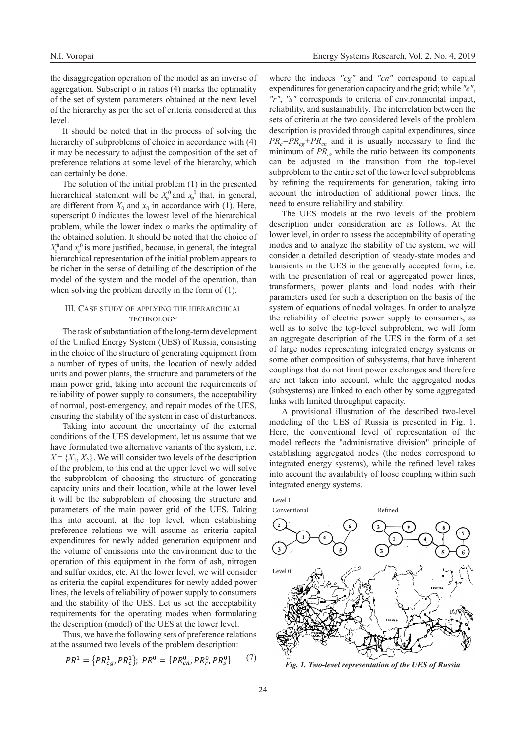the disaggregation operation of the model as an inverse of aggregation. Subscript o in ratios (4) marks the optimality of the set of system parameters obtained at the next level of the hierarchy as per the set of criteria considered at this level.

It should be noted that in the process of solving the hierarchy of subproblems of choice in accordance with  $(4)$ it may be necessary to adjust the composition of the set of preference relations at some level of the hierarchy, which can certainly be done.

The solution of the initial problem (1) in the presented hierarchical statement will be  $X_0^0$  and  $x_0^0$  that, in general, are different from  $X_0$  and  $x_0$  in accordance with (1). Here, superscript 0 indicates the lowest level of the hierarchical problem, while the lower index *o* marks the optimality of the obtained solution. It should be noted that the choice of  $X_0^0$  and  $x_0^0$  is more justified, because, in general, the integral hierarchical representation of the initial problem appears to be richer in the sense of detailing of the description of the model of the system and the model of the operation, than when solving the problem directly in the form of (1).

# III. Case study of applying the hierarchical **TECHNOLOGY**

The task of substantiation of the long-term development of the Unified Energy System (UES) of Russia, consisting in the choice of the structure of generating equipment from a number of types of units, the location of newly added units and power plants, the structure and parameters of the main power grid, taking into account the requirements of reliability of power supply to consumers, the acceptability of normal, post-emergency, and repair modes of the UES, ensuring the stability of the system in case of disturbances.

Taking into account the uncertainty of the external conditions of the UES development, let us assume that we have formulated two alternative variants of the system, i.e.  $X = \{X_1, X_2\}$ . We will consider two levels of the description of the problem, to this end at the upper level we will solve the subproblem of choosing the structure of generating capacity units and their location, while at the lower level it will be the subproblem of choosing the structure and parameters of the main power grid of the UES. Taking this into account, at the top level, when establishing preference relations we will assume as criteria capital expenditures for newly added generation equipment and the volume of emissions into the environment due to the operation of this equipment in the form of ash, nitrogen and sulfur oxides, etc. At the lower level, we will consider as criteria the capital expenditures for newly added power lines, the levels of reliability of power supply to consumers and the stability of the UES. Let us set the acceptability requirements for the operating modes when formulating the description (model) of the UES at the lower level.

Thus, we have the following sets of preference relations at the assumed two levels of the problem description:

$$
PR^{1} = \{PR_{cg}^{1}, PR_{e}^{1}\};\ PR^{0} = \{PR_{cn}^{0}, PR_{r}^{0}, PR_{s}^{0}\}\tag{7}
$$

where the indices *"cg"* and *"cn"* correspond to capital expenditures for generation capacity and the grid; while *"e"*, *"r"*, *"s"* corresponds to criteria of environmental impact, reliability, and sustainability. The interrelation between the sets of criteria at the two considered levels of the problem description is provided through capital expenditures, since  $PR_{c}=PR_{co}+PR_{cn}$  and it is usually necessary to find the minimum of *PR<sub>c</sub>*, while the ratio between its components can be adjusted in the transition from the top-level subproblem to the entire set of the lower level subproblems by refining the requirements for generation, taking into account the introduction of additional power lines, the need to ensure reliability and stability.

The UES models at the two levels of the problem description under consideration are as follows. At the lower level, in order to assess the acceptability of operating modes and to analyze the stability of the system, we will consider a detailed description of steady-state modes and transients in the UES in the generally accepted form, i.e. with the presentation of real or aggregated power lines, transformers, power plants and load nodes with their parameters used for such a description on the basis of the system of equations of nodal voltages. In order to analyze the reliability of electric power supply to consumers, as well as to solve the top-level subproblem, we will form an aggregate description of the UES in the form of a set of large nodes representing integrated energy systems or some other composition of subsystems, that have inherent couplings that do not limit power exchanges and therefore are not taken into account, while the aggregated nodes (subsystems) are linked to each other by some aggregated links with limited throughput capacity.

A provisional illustration of the described two-level modeling of the UES of Russia is presented in Fig. 1. Here, the conventional level of representation of the model reflects the "administrative division" principle of establishing aggregated nodes (the nodes correspond to integrated energy systems), while the refined level takes into account the availability of loose coupling within such integrated energy systems.



*Fig. 1. Two-level representation of the UES of Russia*